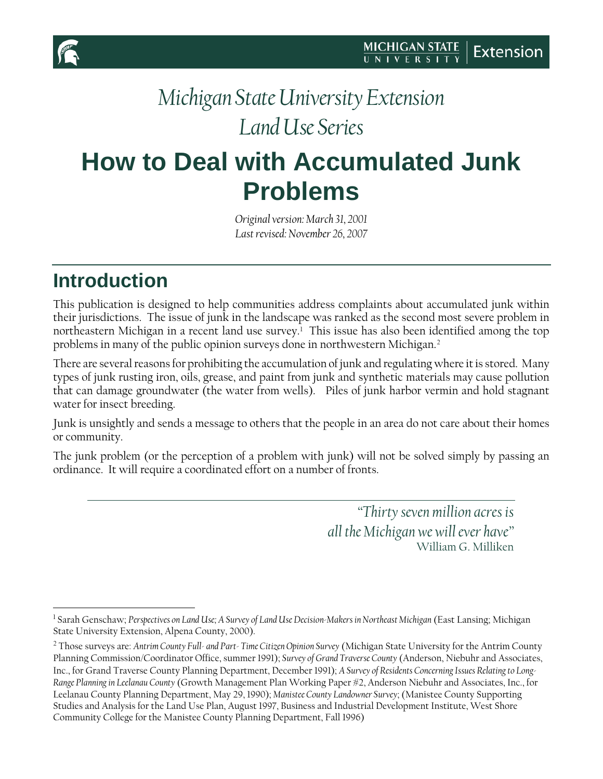

# <span id="page-0-2"></span>**How to Deal with Accumulated Junk Problems**

*Original version: March 31, 2001 Last revised: November 26, 2007*

## <span id="page-0-3"></span>**Introduction**

 $\overline{\phantom{a}}$ 

This publication is designed to help communities address complaints about accumulated junk within their jurisdictions. The issue of junk in the landscape was ranked as the second most severe problem in northeastern Michigan in a recent land use survey.[1](#page-0-0) This issue has also been identified among the top problems in many of the public opinion surveys done in northwestern Michigan.[2](#page-0-1)

There are several reasons for prohibiting the accumulation of junk and regulating where it is stored. Many types of junk rusting iron, oils, grease, and paint from junk and synthetic materials may cause pollution that can damage groundwater (the water from wells). Piles of junk harbor vermin and hold stagnant water for insect breeding.

Junk is unsightly and sends a message to others that the people in an area do not care about their homes or community.

The junk problem (or the perception of a problem with junk) will not be solved simply by passing an ordinance. It will require a coordinated effort on a number of fronts.

> *"Thirty seven million acres is all the Michigan we will ever have"* William G. Milliken

<span id="page-0-0"></span><sup>1</sup> Sarah Genschaw; *Perspectives on Land Use; A Survey of Land Use Decision-Makers in Northeast Michigan* (East Lansing; Michigan State University Extension, Alpena County, 2000).

<span id="page-0-1"></span><sup>2</sup> Those surveys are: *Antrim County Full- and Part- Time Citizen Opinion Survey* (Michigan State University for the Antrim County Planning Commission/Coordinator Office, summer 1991); *Survey of Grand Traverse County* (Anderson, Niebuhr and Associates, Inc., for Grand Traverse County Planning Department, December 1991); *A Survey of Residents Concerning Issues Relating to Long-Range Planning in Leelanau County* (Growth Management Plan Working Paper #2, Anderson Niebuhr and Associates, Inc., for Leelanau County Planning Department, May 29, 1990); *Manistee County Landowner Survey*; (Manistee County Supporting Studies and Analysis for the Land Use Plan, August 1997, Business and Industrial Development Institute, West Shore Community College for the Manistee County Planning Department, Fall 1996)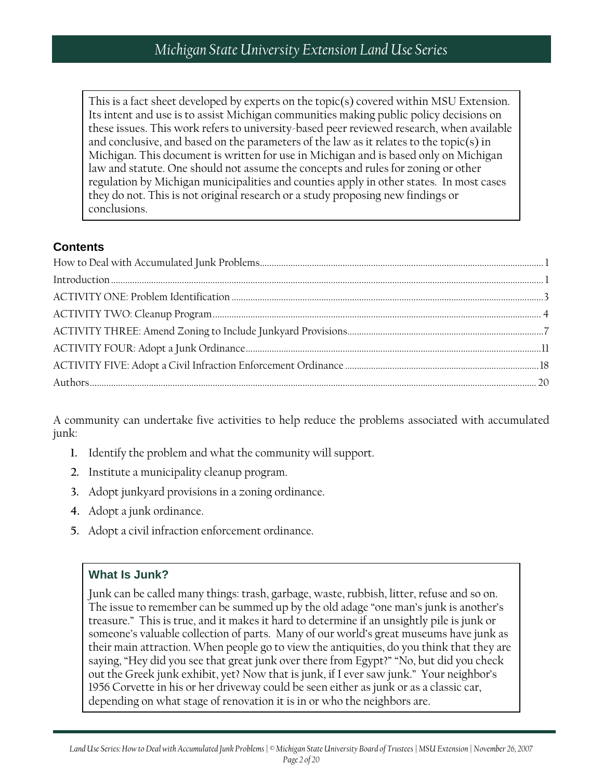This is a fact sheet developed by experts on the topic(s) covered within MSU Extension. Its intent and use is to assist Michigan communities making public policy decisions on these issues. This work refers to university-based peer reviewed research, when available and conclusive, and based on the parameters of the law as it relates to the topic(s) in Michigan. This document is written for use in Michigan and is based only on Michigan law and statute. One should not assume the concepts and rules for zoning or other regulation by Michigan municipalities and counties apply in other states. In most cases they do not. This is not original research or a study proposing new findings or conclusions.

#### **Contents**

A community can undertake five activities to help reduce the problems associated with accumulated junk:

- **1.** Identify the problem and what the community will support.
- **2.** Institute a municipality cleanup program.
- **3.** Adopt junkyard provisions in a zoning ordinance.
- **4.** Adopt a junk ordinance.
- **5.** Adopt a civil infraction enforcement ordinance.

#### **What Is Junk?**

Junk can be called many things: trash, garbage, waste, rubbish, litter, refuse and so on. The issue to remember can be summed up by the old adage "one man's junk is another's treasure." This is true, and it makes it hard to determine if an unsightly pile is junk or someone's valuable collection of parts. Many of our world's great museums have junk as their main attraction. When people go to view the antiquities, do you think that they are saying, "Hey did you see that great junk over there from Egypt?" "No, but did you check out the Greek junk exhibit, yet? Now that is junk, if I ever saw junk." Your neighbor's 1956 Corvette in his or her driveway could be seen either as junk or as a classic car, depending on what stage of renovation it is in or who the neighbors are.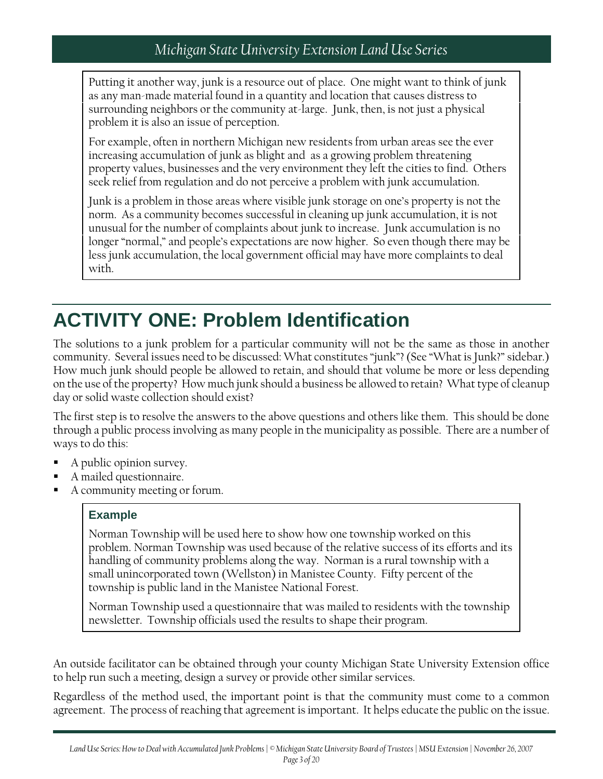Putting it another way, junk is a resource out of place. One might want to think of junk as any man-made material found in a quantity and location that causes distress to surrounding neighbors or the community at-large. Junk, then, is not just a physical problem it is also an issue of perception.

For example, often in northern Michigan new residents from urban areas see the ever increasing accumulation of junk as blight and as a growing problem threatening property values, businesses and the very environment they left the cities to find. Others seek relief from regulation and do not perceive a problem with junk accumulation.

Junk is a problem in those areas where visible junk storage on one's property is not the norm. As a community becomes successful in cleaning up junk accumulation, it is not unusual for the number of complaints about junk to increase. Junk accumulation is no longer "normal," and people's expectations are now higher. So even though there may be less junk accumulation, the local government official may have more complaints to deal with.

## <span id="page-2-0"></span>**ACTIVITY ONE: Problem Identification**

The solutions to a junk problem for a particular community will not be the same as those in another community. Several issues need to be discussed: What constitutes "junk"? (See "What is Junk?" sidebar.) How much junk should people be allowed to retain, and should that volume be more or less depending on the use of the property? How much junk should a business be allowed to retain? What type of cleanup day or solid waste collection should exist?

The first step is to resolve the answers to the above questions and others like them. This should be done through a public process involving as many people in the municipality as possible. There are a number of ways to do this:

- A public opinion survey.
- A mailed questionnaire.
- A community meeting or forum.

#### **Example**

Norman Township will be used here to show how one township worked on this problem. Norman Township was used because of the relative success of its efforts and its handling of community problems along the way. Norman is a rural township with a small unincorporated town (Wellston) in Manistee County. Fifty percent of the township is public land in the Manistee National Forest.

Norman Township used a questionnaire that was mailed to residents with the township newsletter. Township officials used the results to shape their program.

An outside facilitator can be obtained through your county Michigan State University Extension office to help run such a meeting, design a survey or provide other similar services.

Regardless of the method used, the important point is that the community must come to a common agreement. The process of reaching that agreement is important. It helps educate the public on the issue.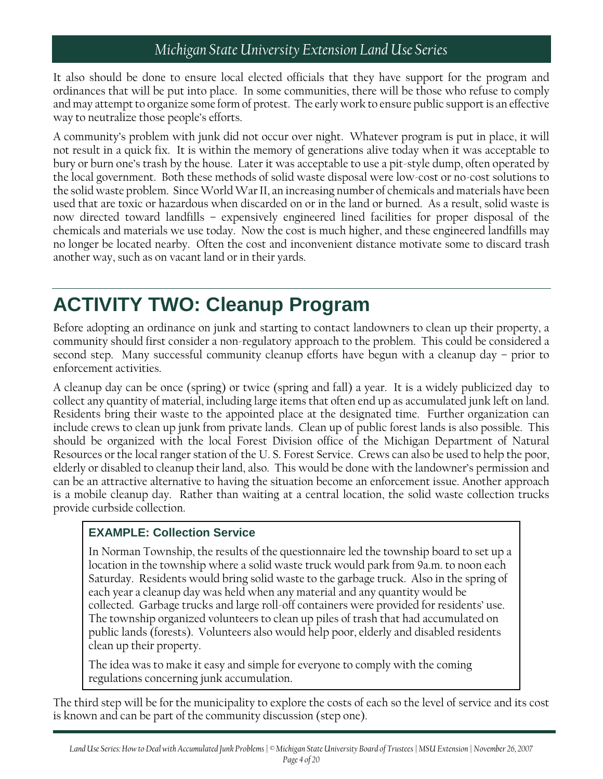It also should be done to ensure local elected officials that they have support for the program and ordinances that will be put into place. In some communities, there will be those who refuse to comply and may attempt to organize some form of protest. The early work to ensure public support is an effective way to neutralize those people's efforts.

A community's problem with junk did not occur over night. Whatever program is put in place, it will not result in a quick fix. It is within the memory of generations alive today when it was acceptable to bury or burn one's trash by the house. Later it was acceptable to use a pit-style dump, often operated by the local government. Both these methods of solid waste disposal were low-cost or no-cost solutions to the solid waste problem. Since World War II, an increasing number of chemicals and materials have been used that are toxic or hazardous when discarded on or in the land or burned. As a result, solid waste is now directed toward landfills – expensively engineered lined facilities for proper disposal of the chemicals and materials we use today. Now the cost is much higher, and these engineered landfills may no longer be located nearby. Often the cost and inconvenient distance motivate some to discard trash another way, such as on vacant land or in their yards.

## <span id="page-3-0"></span>**ACTIVITY TWO: Cleanup Program**

Before adopting an ordinance on junk and starting to contact landowners to clean up their property, a community should first consider a non-regulatory approach to the problem. This could be considered a second step. Many successful community cleanup efforts have begun with a cleanup day – prior to enforcement activities.

A cleanup day can be once (spring) or twice (spring and fall) a year. It is a widely publicized day to collect any quantity of material, including large items that often end up as accumulated junk left on land. Residents bring their waste to the appointed place at the designated time. Further organization can include crews to clean up junk from private lands. Clean up of public forest lands is also possible. This should be organized with the local Forest Division office of the Michigan Department of Natural Resources or the local ranger station of the U. S. Forest Service. Crews can also be used to help the poor, elderly or disabled to cleanup their land, also. This would be done with the landowner's permission and can be an attractive alternative to having the situation become an enforcement issue. Another approach is a mobile cleanup day. Rather than waiting at a central location, the solid waste collection trucks provide curbside collection.

### **EXAMPLE: Collection Service**

In Norman Township, the results of the questionnaire led the township board to set up a location in the township where a solid waste truck would park from 9a.m. to noon each Saturday. Residents would bring solid waste to the garbage truck. Also in the spring of each year a cleanup day was held when any material and any quantity would be collected. Garbage trucks and large roll-off containers were provided for residents' use. The township organized volunteers to clean up piles of trash that had accumulated on public lands (forests). Volunteers also would help poor, elderly and disabled residents clean up their property.

The idea was to make it easy and simple for everyone to comply with the coming regulations concerning junk accumulation.

The third step will be for the municipality to explore the costs of each so the level of service and its cost is known and can be part of the community discussion (step one).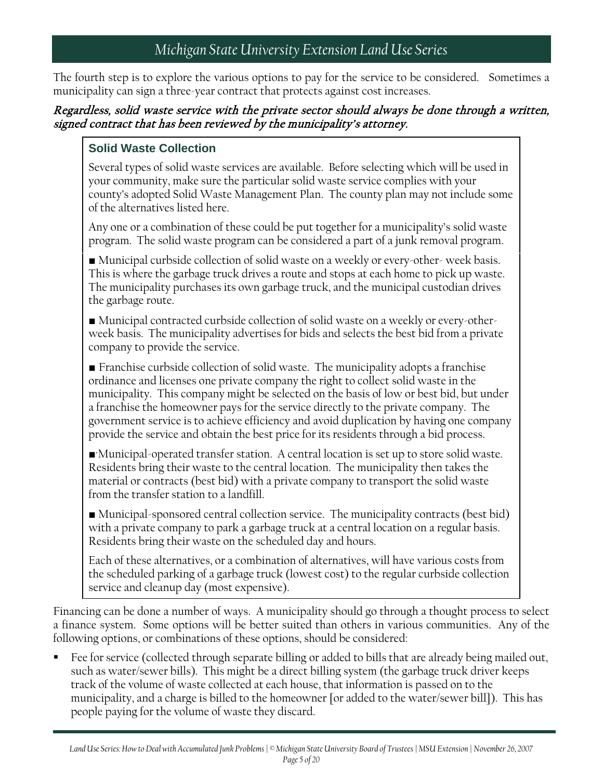The fourth step is to explore the various options to pay for the service to be considered. Sometimes a municipality can sign a three-year contract that protects against cost increases.

#### Regardless, solid waste service with the private sector should always be done through a written, signed contract that has been reviewed by the municipality's attorney.

### **Solid Waste Collection**

Several types of solid waste services are available. Before selecting which will be used in your community, make sure the particular solid waste service complies with your county's adopted Solid Waste Management Plan. The county plan may not include some of the alternatives listed here.

Any one or a combination of these could be put together for a municipality's solid waste program. The solid waste program can be considered a part of a junk removal program.

■ Municipal curbside collection of solid waste on a weekly or every-other- week basis. This is where the garbage truck drives a route and stops at each home to pick up waste. The municipality purchases its own garbage truck, and the municipal custodian drives the garbage route.

■ Municipal contracted curbside collection of solid waste on a weekly or every-otherweek basis. The municipality advertises for bids and selects the best bid from a private company to provide the service.

■ Franchise curbside collection of solid waste. The municipality adopts a franchise ordinance and licenses one private company the right to collect solid waste in the municipality. This company might be selected on the basis of low or best bid, but under a franchise the homeowner pays for the service directly to the private company. The government service is to achieve efficiency and avoid duplication by having one company provide the service and obtain the best price for its residents through a bid process.

■∙Municipal-operated transfer station. A central location is set up to store solid waste. Residents bring their waste to the central location. The municipality then takes the material or contracts (best bid) with a private company to transport the solid waste from the transfer station to a landfill.

■ Municipal-sponsored central collection service. The municipality contracts (best bid) with a private company to park a garbage truck at a central location on a regular basis. Residents bring their waste on the scheduled day and hours.

Each of these alternatives, or a combination of alternatives, will have various costs from the scheduled parking of a garbage truck (lowest cost) to the regular curbside collection service and cleanup day (most expensive).

Financing can be done a number of ways. A municipality should go through a thought process to select a finance system. Some options will be better suited than others in various communities. Any of the following options, or combinations of these options, should be considered:

 Fee for service (collected through separate billing or added to bills that are already being mailed out, such as water/sewer bills). This might be a direct billing system (the garbage truck driver keeps track of the volume of waste collected at each house, that information is passed on to the municipality, and a charge is billed to the homeowner [or added to the water/sewer bill]). This has people paying for the volume of waste they discard.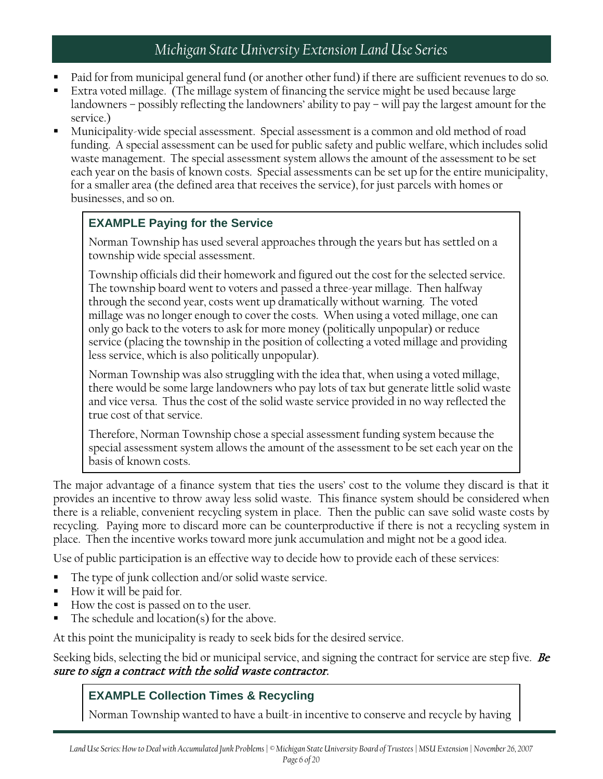- Paid for from municipal general fund (or another other fund) if there are sufficient revenues to do so.
- Extra voted millage. (The millage system of financing the service might be used because large landowners – possibly reflecting the landowners' ability to pay – will pay the largest amount for the service.)
- Municipality-wide special assessment. Special assessment is a common and old method of road funding. A special assessment can be used for public safety and public welfare, which includes solid waste management. The special assessment system allows the amount of the assessment to be set each year on the basis of known costs. Special assessments can be set up for the entire municipality, for a smaller area (the defined area that receives the service), for just parcels with homes or businesses, and so on.

### **EXAMPLE Paying for the Service**

Norman Township has used several approaches through the years but has settled on a township wide special assessment.

Township officials did their homework and figured out the cost for the selected service. The township board went to voters and passed a three-year millage. Then halfway through the second year, costs went up dramatically without warning. The voted millage was no longer enough to cover the costs. When using a voted millage, one can only go back to the voters to ask for more money (politically unpopular) or reduce service (placing the township in the position of collecting a voted millage and providing less service, which is also politically unpopular).

Norman Township was also struggling with the idea that, when using a voted millage, there would be some large landowners who pay lots of tax but generate little solid waste and vice versa. Thus the cost of the solid waste service provided in no way reflected the true cost of that service.

Therefore, Norman Township chose a special assessment funding system because the special assessment system allows the amount of the assessment to be set each year on the basis of known costs.

The major advantage of a finance system that ties the users' cost to the volume they discard is that it provides an incentive to throw away less solid waste. This finance system should be considered when there is a reliable, convenient recycling system in place. Then the public can save solid waste costs by recycling. Paying more to discard more can be counterproductive if there is not a recycling system in place. Then the incentive works toward more junk accumulation and might not be a good idea.

Use of public participation is an effective way to decide how to provide each of these services:

- The type of junk collection and/or solid waste service.
- How it will be paid for.
- How the cost is passed on to the user.
- The schedule and location(s) for the above.

At this point the municipality is ready to seek bids for the desired service.

Seeking bids, selecting the bid or municipal service, and signing the contract for service are step five. Be sure to sign a contract with the solid waste contractor.

### **EXAMPLE Collection Times & Recycling**

Norman Township wanted to have a built-in incentive to conserve and recycle by having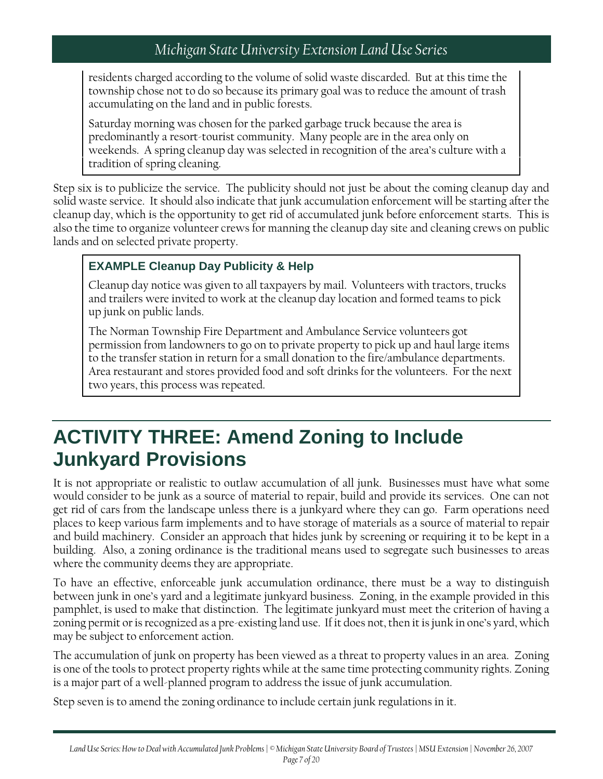residents charged according to the volume of solid waste discarded. But at this time the township chose not to do so because its primary goal was to reduce the amount of trash accumulating on the land and in public forests.

Saturday morning was chosen for the parked garbage truck because the area is predominantly a resort-tourist community. Many people are in the area only on weekends. A spring cleanup day was selected in recognition of the area's culture with a tradition of spring cleaning.

Step six is to publicize the service. The publicity should not just be about the coming cleanup day and solid waste service. It should also indicate that junk accumulation enforcement will be starting after the cleanup day, which is the opportunity to get rid of accumulated junk before enforcement starts. This is also the time to organize volunteer crews for manning the cleanup day site and cleaning crews on public lands and on selected private property.

### **EXAMPLE Cleanup Day Publicity & Help**

Cleanup day notice was given to all taxpayers by mail. Volunteers with tractors, trucks and trailers were invited to work at the cleanup day location and formed teams to pick up junk on public lands.

The Norman Township Fire Department and Ambulance Service volunteers got permission from landowners to go on to private property to pick up and haul large items to the transfer station in return for a small donation to the fire/ambulance departments. Area restaurant and stores provided food and soft drinks for the volunteers. For the next two years, this process was repeated.

## <span id="page-6-0"></span>**ACTIVITY THREE: Amend Zoning to Include Junkyard Provisions**

It is not appropriate or realistic to outlaw accumulation of all junk. Businesses must have what some would consider to be junk as a source of material to repair, build and provide its services. One can not get rid of cars from the landscape unless there is a junkyard where they can go. Farm operations need places to keep various farm implements and to have storage of materials as a source of material to repair and build machinery. Consider an approach that hides junk by screening or requiring it to be kept in a building. Also, a zoning ordinance is the traditional means used to segregate such businesses to areas where the community deems they are appropriate.

To have an effective, enforceable junk accumulation ordinance, there must be a way to distinguish between junk in one's yard and a legitimate junkyard business. Zoning, in the example provided in this pamphlet, is used to make that distinction. The legitimate junkyard must meet the criterion of having a zoning permit or is recognized as a pre-existing land use. If it does not, then it is junk in one's yard, which may be subject to enforcement action.

The accumulation of junk on property has been viewed as a threat to property values in an area. Zoning is one of the tools to protect property rights while at the same time protecting community rights. Zoning is a major part of a well-planned program to address the issue of junk accumulation.

Step seven is to amend the zoning ordinance to include certain junk regulations in it.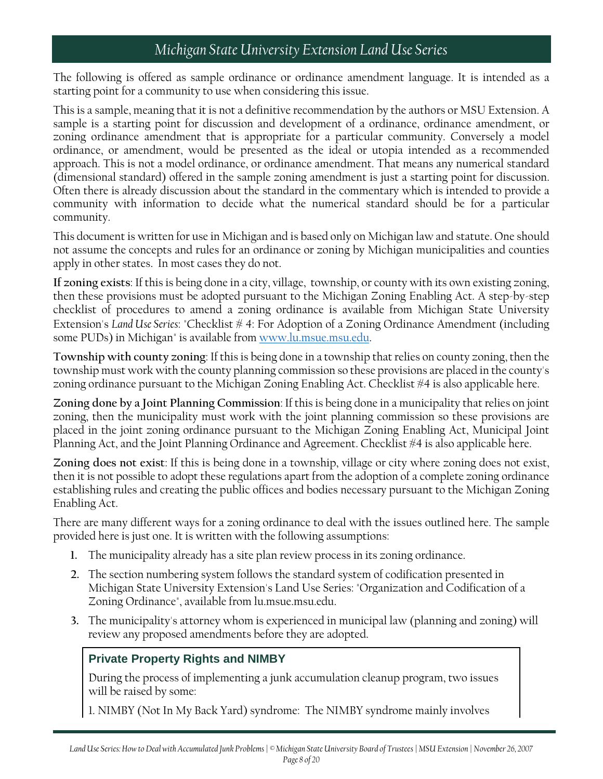The following is offered as sample ordinance or ordinance amendment language. It is intended as a starting point for a community to use when considering this issue.

This is a sample, meaning that it is not a definitive recommendation by the authors or MSU Extension. A sample is a starting point for discussion and development of a ordinance, ordinance amendment, or zoning ordinance amendment that is appropriate for a particular community. Conversely a model ordinance, or amendment, would be presented as the ideal or utopia intended as a recommended approach. This is not a model ordinance, or ordinance amendment. That means any numerical standard (dimensional standard) offered in the sample zoning amendment is just a starting point for discussion. Often there is already discussion about the standard in the commentary which is intended to provide a community with information to decide what the numerical standard should be for a particular community.

This document is written for use in Michigan and is based only on Michigan law and statute. One should not assume the concepts and rules for an ordinance or zoning by Michigan municipalities and counties apply in other states. In most cases they do not.

**If zoning exists**: If this is being done in a city, village, township, or county with its own existing zoning, then these provisions must be adopted pursuant to the Michigan Zoning Enabling Act. A step-by-step checklist of procedures to amend a zoning ordinance is available from Michigan State University Extension's *Land Use Series*: "Checklist # 4: For Adoption of a Zoning Ordinance Amendment (including some PUDs) in Michigan" is available from [www.lu.msue.msu.edu.](http://www.lu.msue.msu.edu/)

**Township with county zoning**: If this is being done in a township that relies on county zoning, then the township must work with the county planning commission so these provisions are placed in the county's zoning ordinance pursuant to the Michigan Zoning Enabling Act. Checklist #4 is also applicable here.

**Zoning done by a Joint Planning Commission**: If this is being done in a municipality that relies on joint zoning, then the municipality must work with the joint planning commission so these provisions are placed in the joint zoning ordinance pursuant to the Michigan Zoning Enabling Act, Municipal Joint Planning Act, and the Joint Planning Ordinance and Agreement. Checklist #4 is also applicable here.

**Zoning does not exist**: If this is being done in a township, village or city where zoning does not exist, then it is not possible to adopt these regulations apart from the adoption of a complete zoning ordinance establishing rules and creating the public offices and bodies necessary pursuant to the Michigan Zoning Enabling Act.

There are many different ways for a zoning ordinance to deal with the issues outlined here. The sample provided here is just one. It is written with the following assumptions:

- **1.** The municipality already has a site plan review process in its zoning ordinance.
- **2.** The section numbering system follows the standard system of codification presented in Michigan State University Extension's Land Use Series: "Organization and Codification of a Zoning Ordinance", available from lu.msue.msu.edu.
- **3.** The municipality's attorney whom is experienced in municipal law (planning and zoning) will review any proposed amendments before they are adopted.

### **Private Property Rights and NIMBY**

During the process of implementing a junk accumulation cleanup program, two issues will be raised by some:

1. NIMBY (Not In My Back Yard) syndrome: The NIMBY syndrome mainly involves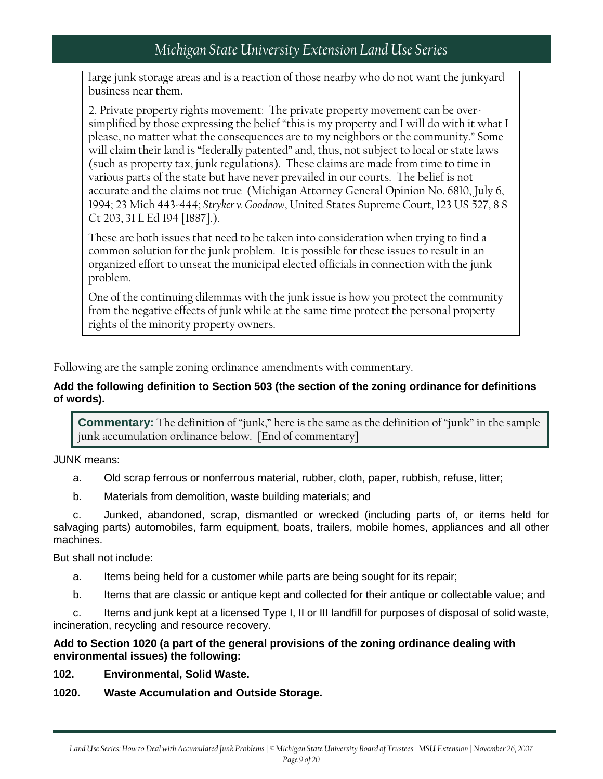large junk storage areas and is a reaction of those nearby who do not want the junkyard business near them.

2. Private property rights movement: The private property movement can be oversimplified by those expressing the belief "this is my property and I will do with it what I please, no matter what the consequences are to my neighbors or the community." Some will claim their land is "federally patented" and, thus, not subject to local or state laws (such as property tax, junk regulations). These claims are made from time to time in various parts of the state but have never prevailed in our courts. The belief is not accurate and the claims not true (Michigan Attorney General Opinion No. 6810, July 6, 1994; 23 Mich 443-444; *Stryker v. Goodnow*, United States Supreme Court, 123 US 527, 8 S Ct 203, 31 L Ed 194 [1887].).

These are both issues that need to be taken into consideration when trying to find a common solution for the junk problem. It is possible for these issues to result in an organized effort to unseat the municipal elected officials in connection with the junk problem.

One of the continuing dilemmas with the junk issue is how you protect the community from the negative effects of junk while at the same time protect the personal property rights of the minority property owners.

Following are the sample zoning ordinance amendments with commentary.

#### **Add the following definition to Section 503 (the section of the zoning ordinance for definitions of words).**

**Commentary:** The definition of "junk," here is the same as the definition of "junk" in the sample junk accumulation ordinance below. [End of commentary]

JUNK means:

a. Old scrap ferrous or nonferrous material, rubber, cloth, paper, rubbish, refuse, litter;

b. Materials from demolition, waste building materials; and

c. Junked, abandoned, scrap, dismantled or wrecked (including parts of, or items held for salvaging parts) automobiles, farm equipment, boats, trailers, mobile homes, appliances and all other machines.

But shall not include:

- a. Items being held for a customer while parts are being sought for its repair;
- b. Items that are classic or antique kept and collected for their antique or collectable value; and

c. Items and junk kept at a licensed Type I, II or III landfill for purposes of disposal of solid waste, incineration, recycling and resource recovery.

#### **Add to Section 1020 (a part of the general provisions of the zoning ordinance dealing with environmental issues) the following:**

**102. Environmental, Solid Waste.**

**1020. Waste Accumulation and Outside Storage.**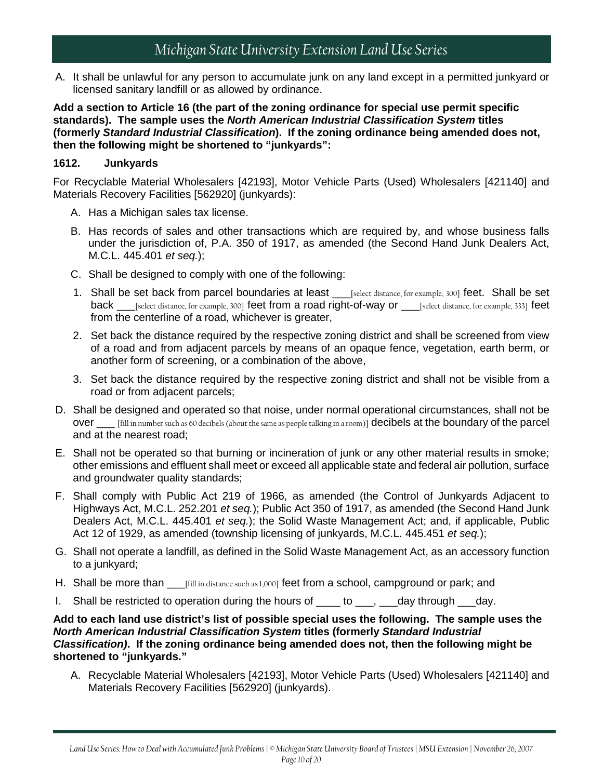A. It shall be unlawful for any person to accumulate junk on any land except in a permitted junkyard or licensed sanitary landfill or as allowed by ordinance.

**Add a section to Article 16 (the part of the zoning ordinance for special use permit specific standards). The sample uses the** *North American Industrial Classification System* **titles (formerly** *Standard Industrial Classification***). If the zoning ordinance being amended does not, then the following might be shortened to "junkyards":**

#### **1612. Junkyards**

For Recyclable Material Wholesalers [42193], Motor Vehicle Parts (Used) Wholesalers [421140] and Materials Recovery Facilities [562920] (junkyards):

- A. Has a Michigan sales tax license.
- B. Has records of sales and other transactions which are required by, and whose business falls under the jurisdiction of, P.A. 350 of 1917, as amended (the Second Hand Junk Dealers Act, M.C.L. 445.401 *et seq.*);
- C. Shall be designed to comply with one of the following:
- 1. Shall be set back from parcel boundaries at least \_\_\_\_\_[select distance, for example, 300] feet. Shall be set back \_\_\_[select distance, for example, 300] feet from a road right-of-way or \_\_\_[select distance, for example, 333] feet from the centerline of a road, whichever is greater,
- 2. Set back the distance required by the respective zoning district and shall be screened from view of a road and from adjacent parcels by means of an opaque fence, vegetation, earth berm, or another form of screening, or a combination of the above,
- 3. Set back the distance required by the respective zoning district and shall not be visible from a road or from adjacent parcels;
- D. Shall be designed and operated so that noise, under normal operational circumstances, shall not be over \_\_\_ [fill in number such as 60 decibels (about the same as people talking in a room)] decibels at the boundary of the parcel and at the nearest road;
- E. Shall not be operated so that burning or incineration of junk or any other material results in smoke; other emissions and effluent shall meet or exceed all applicable state and federal air pollution, surface and groundwater quality standards;
- F. Shall comply with Public Act 219 of 1966, as amended (the Control of Junkyards Adjacent to Highways Act, M.C.L. 252.201 *et seq.*); Public Act 350 of 1917, as amended (the Second Hand Junk Dealers Act, M.C.L. 445.401 *et seq.*); the Solid Waste Management Act; and, if applicable, Public Act 12 of 1929, as amended (township licensing of junkyards, M.C.L. 445.451 *et seq.*);
- G. Shall not operate a landfill, as defined in the Solid Waste Management Act, as an accessory function to a junkyard;
- H. Shall be more than \_\_\_\_[fill in distance such as 1,000] feet from a school, campground or park; and
- I. Shall be restricted to operation during the hours of discompton to any through day.

**Add to each land use district's list of possible special uses the following. The sample uses the**  *North American Industrial Classification System* **titles (formerly** *Standard Industrial Classification)***. If the zoning ordinance being amended does not, then the following might be shortened to "junkyards."**

A. Recyclable Material Wholesalers [42193], Motor Vehicle Parts (Used) Wholesalers [421140] and Materials Recovery Facilities [562920] (junkyards).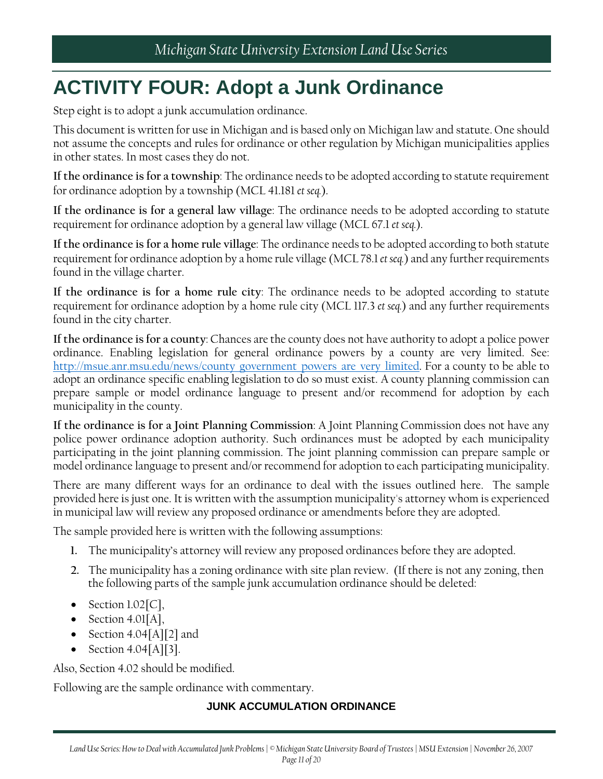## <span id="page-10-0"></span>**ACTIVITY FOUR: Adopt a Junk Ordinance**

Step eight is to adopt a junk accumulation ordinance.

This document is written for use in Michigan and is based only on Michigan law and statute. One should not assume the concepts and rules for ordinance or other regulation by Michigan municipalities applies in other states. In most cases they do not.

**If the ordinance is for a township**: The ordinance needs to be adopted according to statute requirement for ordinance adoption by a township (MCL 41.181 *et seq.*).

**If the ordinance is for a general law village**: The ordinance needs to be adopted according to statute requirement for ordinance adoption by a general law village (MCL 67.1 *et seq.*).

**If the ordinance is for a home rule village**: The ordinance needs to be adopted according to both statute requirement for ordinance adoption by a home rule village (MCL 78.1 *et seq.*) and any further requirements found in the village charter.

**If the ordinance is for a home rule city**: The ordinance needs to be adopted according to statute requirement for ordinance adoption by a home rule city (MCL 117.3 *et seq.*) and any further requirements found in the city charter.

**If the ordinance is for a county**: Chances are the county does not have authority to adopt a police power ordinance. Enabling legislation for general ordinance powers by a county are very limited. See: [http://msue.anr.msu.edu/news/county\\_government\\_powers\\_are\\_very\\_limited.](http://msue.anr.msu.edu/news/county_government_powers_are_very_limited) For a county to be able to adopt an ordinance specific enabling legislation to do so must exist. A county planning commission can prepare sample or model ordinance language to present and/or recommend for adoption by each municipality in the county.

**If the ordinance is for a Joint Planning Commission**: A Joint Planning Commission does not have any police power ordinance adoption authority. Such ordinances must be adopted by each municipality participating in the joint planning commission. The joint planning commission can prepare sample or model ordinance language to present and/or recommend for adoption to each participating municipality.

There are many different ways for an ordinance to deal with the issues outlined here. The sample provided here is just one. It is written with the assumption municipality's attorney whom is experienced in municipal law will review any proposed ordinance or amendments before they are adopted.

The sample provided here is written with the following assumptions:

- **1.** The municipality's attorney will review any proposed ordinances before they are adopted.
- **2.** The municipality has a zoning ordinance with site plan review. (If there is not any zoning, then the following parts of the sample junk accumulation ordinance should be deleted:
- Section  $l.02$ [C],
- Section  $4.01[A]$ ,
- Section 4.04[A][2] and
- Section  $4.04[A][3]$ .

Also, Section 4.02 should be modified.

Following are the sample ordinance with commentary.

#### **JUNK ACCUMULATION ORDINANCE**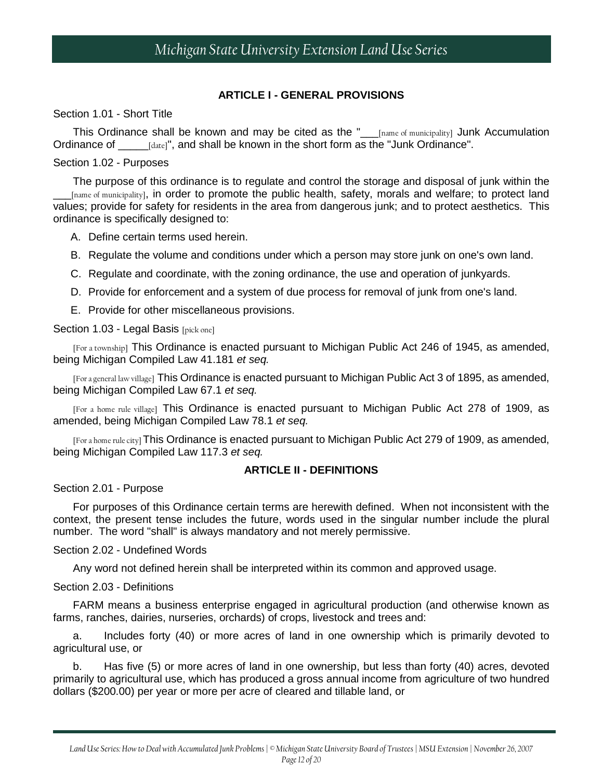#### **ARTICLE I - GENERAL PROVISIONS**

#### Section 1.01 - Short Title

This Ordinance shall be known and may be cited as the "\_\_\_\_[name of municipality] Junk Accumulation Ordinance of  $_{\text{[date]}}$ ", and shall be known in the short form as the "Junk Ordinance".

#### Section 1.02 - Purposes

The purpose of this ordinance is to regulate and control the storage and disposal of junk within the \_\_\_[name of municipality], in order to promote the public health, safety, morals and welfare; to protect land values; provide for safety for residents in the area from dangerous junk; and to protect aesthetics. This ordinance is specifically designed to:

A. Define certain terms used herein.

- B. Regulate the volume and conditions under which a person may store junk on one's own land.
- C. Regulate and coordinate, with the zoning ordinance, the use and operation of junkyards.
- D. Provide for enforcement and a system of due process for removal of junk from one's land.
- E. Provide for other miscellaneous provisions.

#### Section 1.03 - Legal Basis [pick one]

[For a township] This Ordinance is enacted pursuant to Michigan Public Act 246 of 1945, as amended, being Michigan Compiled Law 41.181 *et seq.*

[For a general law village] This Ordinance is enacted pursuant to Michigan Public Act 3 of 1895, as amended, being Michigan Compiled Law 67.1 *et seq.*

[For a home rule village] This Ordinance is enacted pursuant to Michigan Public Act 278 of 1909, as amended, being Michigan Compiled Law 78.1 *et seq.*

[For a home rule city] This Ordinance is enacted pursuant to Michigan Public Act 279 of 1909, as amended, being Michigan Compiled Law 117.3 *et seq.*

#### **ARTICLE II - DEFINITIONS**

Section 2.01 - Purpose

For purposes of this Ordinance certain terms are herewith defined. When not inconsistent with the context, the present tense includes the future, words used in the singular number include the plural number. The word "shall" is always mandatory and not merely permissive.

#### Section 2.02 - Undefined Words

Any word not defined herein shall be interpreted within its common and approved usage.

#### Section 2.03 - Definitions

FARM means a business enterprise engaged in agricultural production (and otherwise known as farms, ranches, dairies, nurseries, orchards) of crops, livestock and trees and:

a. Includes forty (40) or more acres of land in one ownership which is primarily devoted to agricultural use, or

b. Has five (5) or more acres of land in one ownership, but less than forty (40) acres, devoted primarily to agricultural use, which has produced a gross annual income from agriculture of two hundred dollars (\$200.00) per year or more per acre of cleared and tillable land, or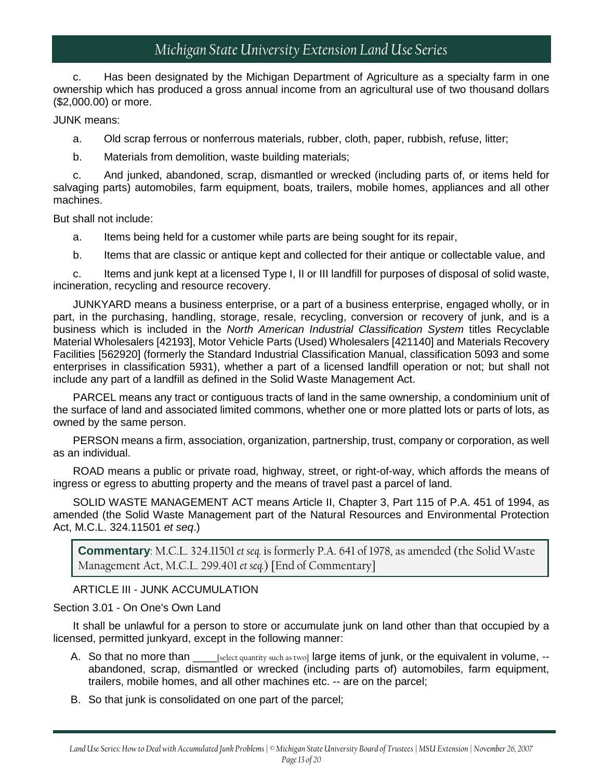c. Has been designated by the Michigan Department of Agriculture as a specialty farm in one ownership which has produced a gross annual income from an agricultural use of two thousand dollars (\$2,000.00) or more.

#### JUNK means:

a. Old scrap ferrous or nonferrous materials, rubber, cloth, paper, rubbish, refuse, litter;

b. Materials from demolition, waste building materials;

c. And junked, abandoned, scrap, dismantled or wrecked (including parts of, or items held for salvaging parts) automobiles, farm equipment, boats, trailers, mobile homes, appliances and all other machines.

But shall not include:

- a. Items being held for a customer while parts are being sought for its repair,
- b. Items that are classic or antique kept and collected for their antique or collectable value, and

c. Items and junk kept at a licensed Type I, II or III landfill for purposes of disposal of solid waste, incineration, recycling and resource recovery.

JUNKYARD means a business enterprise, or a part of a business enterprise, engaged wholly, or in part, in the purchasing, handling, storage, resale, recycling, conversion or recovery of junk, and is a business which is included in the *North American Industrial Classification System* titles Recyclable Material Wholesalers [42193], Motor Vehicle Parts (Used) Wholesalers [421140] and Materials Recovery Facilities [562920] (formerly the Standard Industrial Classification Manual, classification 5093 and some enterprises in classification 5931), whether a part of a licensed landfill operation or not; but shall not include any part of a landfill as defined in the Solid Waste Management Act.

PARCEL means any tract or contiguous tracts of land in the same ownership, a condominium unit of the surface of land and associated limited commons, whether one or more platted lots or parts of lots, as owned by the same person.

PERSON means a firm, association, organization, partnership, trust, company or corporation, as well as an individual.

ROAD means a public or private road, highway, street, or right-of-way, which affords the means of ingress or egress to abutting property and the means of travel past a parcel of land.

SOLID WASTE MANAGEMENT ACT means Article II, Chapter 3, Part 115 of P.A. 451 of 1994, as amended (the Solid Waste Management part of the Natural Resources and Environmental Protection Act, M.C.L. 324.11501 *et seq*.)

**Commentary**: M.C.L. 324.11501 *et seq.* is formerly P.A. 641 of 1978, as amended (the Solid Waste Management Act, M.C.L. 299.401 *et seq.*) [End of Commentary]

#### ARTICLE III - JUNK ACCUMULATION

#### Section 3.01 - On One's Own Land

It shall be unlawful for a person to store or accumulate junk on land other than that occupied by a licensed, permitted junkyard, except in the following manner:

- A. So that no more than  $_{\text{Sselect quantity such as two}}$  large items of junk, or the equivalent in volume,  $\sim$ abandoned, scrap, dismantled or wrecked (including parts of) automobiles, farm equipment, trailers, mobile homes, and all other machines etc. -- are on the parcel;
- B. So that junk is consolidated on one part of the parcel;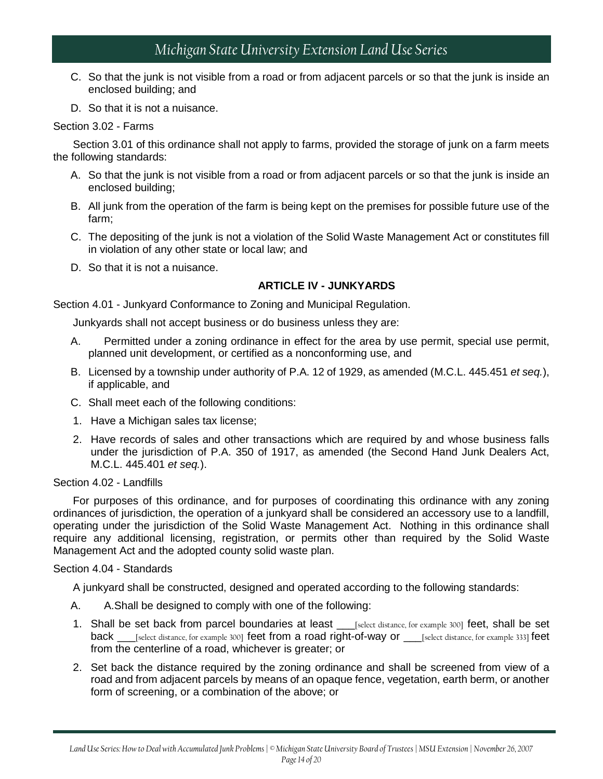- C. So that the junk is not visible from a road or from adjacent parcels or so that the junk is inside an enclosed building; and
- D. So that it is not a nuisance.

#### Section 3.02 - Farms

Section 3.01 of this ordinance shall not apply to farms, provided the storage of junk on a farm meets the following standards:

- A. So that the junk is not visible from a road or from adjacent parcels or so that the junk is inside an enclosed building;
- B. All junk from the operation of the farm is being kept on the premises for possible future use of the farm;
- C. The depositing of the junk is not a violation of the Solid Waste Management Act or constitutes fill in violation of any other state or local law; and
- D. So that it is not a nuisance.

#### **ARTICLE IV - JUNKYARDS**

Section 4.01 - Junkyard Conformance to Zoning and Municipal Regulation.

Junkyards shall not accept business or do business unless they are:

- A. Permitted under a zoning ordinance in effect for the area by use permit, special use permit, planned unit development, or certified as a nonconforming use, and
- B. Licensed by a township under authority of P.A. 12 of 1929, as amended (M.C.L. 445.451 *et seq.*), if applicable, and
- C. Shall meet each of the following conditions:
- 1. Have a Michigan sales tax license;
- 2. Have records of sales and other transactions which are required by and whose business falls under the jurisdiction of P.A. 350 of 1917, as amended (the Second Hand Junk Dealers Act, M.C.L. 445.401 *et seq.*).

Section 4.02 - Landfills

For purposes of this ordinance, and for purposes of coordinating this ordinance with any zoning ordinances of jurisdiction, the operation of a junkyard shall be considered an accessory use to a landfill, operating under the jurisdiction of the Solid Waste Management Act. Nothing in this ordinance shall require any additional licensing, registration, or permits other than required by the Solid Waste Management Act and the adopted county solid waste plan.

#### Section 4.04 - Standards

A junkyard shall be constructed, designed and operated according to the following standards:

- A. A.Shall be designed to comply with one of the following:
- 1. Shall be set back from parcel boundaries at least \_\_\_[select distance, for example 300] feet, shall be set back \_\_\_[select distance, for example 300] feet from a road right-of-way or \_\_\_[select distance, for example 333] feet from the centerline of a road, whichever is greater; or
- 2. Set back the distance required by the zoning ordinance and shall be screened from view of a road and from adjacent parcels by means of an opaque fence, vegetation, earth berm, or another form of screening, or a combination of the above; or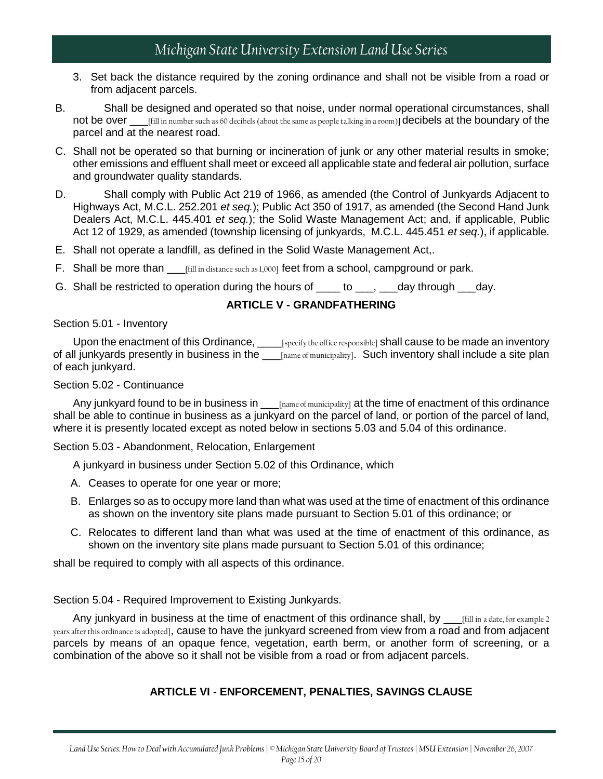- 3. Set back the distance required by the zoning ordinance and shall not be visible from a road or from adjacent parcels.
- B. Shall be designed and operated so that noise, under normal operational circumstances, shall not be over <sup>[fill in number such as 60 decibels (about the same as people talking in a room)] decibels at the boundary of the</sup> parcel and at the nearest road.
- C. Shall not be operated so that burning or incineration of junk or any other material results in smoke; other emissions and effluent shall meet or exceed all applicable state and federal air pollution, surface and groundwater quality standards.
- D. Shall comply with Public Act 219 of 1966, as amended (the Control of Junkyards Adjacent to Highways Act, M.C.L. 252.201 *et seq.*); Public Act 350 of 1917, as amended (the Second Hand Junk Dealers Act, M.C.L. 445.401 *et seq.*); the Solid Waste Management Act; and, if applicable, Public Act 12 of 1929, as amended (township licensing of junkyards, M.C.L. 445.451 *et seq.*), if applicable.
- E. Shall not operate a landfill, as defined in the Solid Waste Management Act,.
- F. Shall be more than \_\_\_[fill in distance such as 1,000] feet from a school, campground or park.
- G. Shall be restricted to operation during the hours of \_\_\_\_ to \_\_\_, \_\_\_day through \_\_\_day.

#### **ARTICLE V - GRANDFATHERING**

#### Section 5.01 - Inventory

Upon the enactment of this Ordinance, <u>subsective the office responsible</u>] shall cause to be made an inventory of all junkyards presently in business in the \_\_\_\_\_<sub>[name of municipality]</sub>. Such inventory shall include a site plan of each junkyard.

#### Section 5.02 - Continuance

Any junkyard found to be in business in \_\_\_\_[name of municipality] at the time of enactment of this ordinance shall be able to continue in business as a junkyard on the parcel of land, or portion of the parcel of land, where it is presently located except as noted below in sections 5.03 and 5.04 of this ordinance.

Section 5.03 - Abandonment, Relocation, Enlargement

A junkyard in business under Section 5.02 of this Ordinance, which

- A. Ceases to operate for one year or more;
- B. Enlarges so as to occupy more land than what was used at the time of enactment of this ordinance as shown on the inventory site plans made pursuant to Section 5.01 of this ordinance; or
- C. Relocates to different land than what was used at the time of enactment of this ordinance, as shown on the inventory site plans made pursuant to Section 5.01 of this ordinance;

shall be required to comply with all aspects of this ordinance.

Section 5.04 - Required Improvement to Existing Junkyards.

Any junkyard in business at the time of enactment of this ordinance shall, by \_\_\_\_\_[fill in a date, for example 2 years after this ordinance is adopted], cause to have the junkyard screened from view from a road and from adjacent parcels by means of an opaque fence, vegetation, earth berm, or another form of screening, or a combination of the above so it shall not be visible from a road or from adjacent parcels.

#### **ARTICLE VI - ENFORCEMENT, PENALTIES, SAVINGS CLAUSE**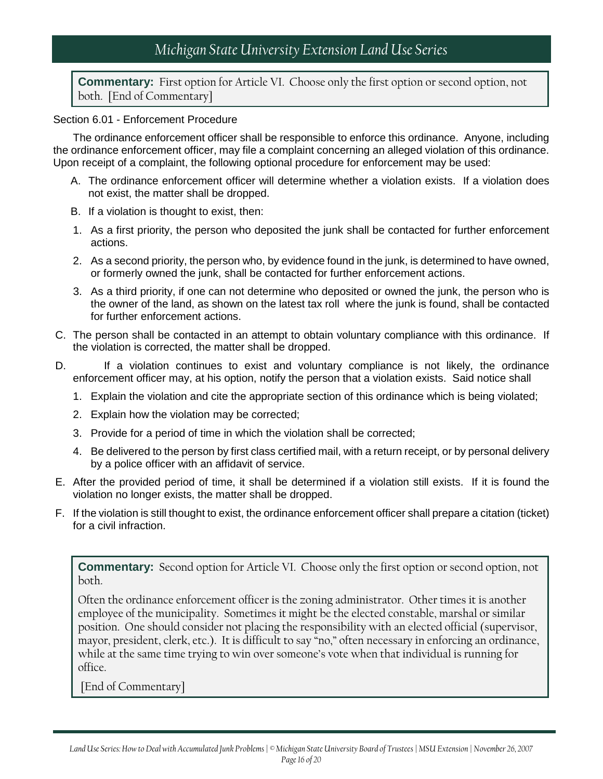**Commentary:** First option for Article VI. Choose only the first option or second option, not both. [End of Commentary]

#### Section 6.01 - Enforcement Procedure

The ordinance enforcement officer shall be responsible to enforce this ordinance. Anyone, including the ordinance enforcement officer, may file a complaint concerning an alleged violation of this ordinance. Upon receipt of a complaint, the following optional procedure for enforcement may be used:

- A. The ordinance enforcement officer will determine whether a violation exists. If a violation does not exist, the matter shall be dropped.
- B. If a violation is thought to exist, then:
- 1. As a first priority, the person who deposited the junk shall be contacted for further enforcement actions.
- 2. As a second priority, the person who, by evidence found in the junk, is determined to have owned, or formerly owned the junk, shall be contacted for further enforcement actions.
- 3. As a third priority, if one can not determine who deposited or owned the junk, the person who is the owner of the land, as shown on the latest tax roll where the junk is found, shall be contacted for further enforcement actions.
- C. The person shall be contacted in an attempt to obtain voluntary compliance with this ordinance. If the violation is corrected, the matter shall be dropped.
- D. If a violation continues to exist and voluntary compliance is not likely, the ordinance enforcement officer may, at his option, notify the person that a violation exists. Said notice shall
	- 1. Explain the violation and cite the appropriate section of this ordinance which is being violated;
	- 2. Explain how the violation may be corrected;
	- 3. Provide for a period of time in which the violation shall be corrected;
	- 4. Be delivered to the person by first class certified mail, with a return receipt, or by personal delivery by a police officer with an affidavit of service.
- E. After the provided period of time, it shall be determined if a violation still exists. If it is found the violation no longer exists, the matter shall be dropped.
- F. If the violation is still thought to exist, the ordinance enforcement officer shall prepare a citation (ticket) for a civil infraction.

**Commentary:** Second option for Article VI. Choose only the first option or second option, not both.

Often the ordinance enforcement officer is the zoning administrator. Other times it is another employee of the municipality. Sometimes it might be the elected constable, marshal or similar position. One should consider not placing the responsibility with an elected official (supervisor, mayor, president, clerk, etc.). It is difficult to say "no," often necessary in enforcing an ordinance, while at the same time trying to win over someone's vote when that individual is running for office.

[End of Commentary]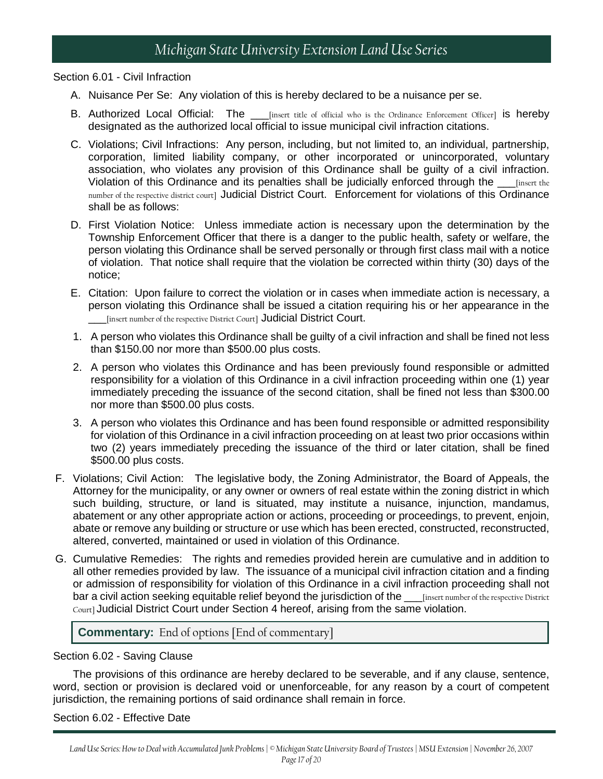Section 6.01 - Civil Infraction

- A. Nuisance Per Se: Any violation of this is hereby declared to be a nuisance per se.
- B. Authorized Local Official: The *\_\_\_\_*[insert title of official who is the Ordinance Enforcement Officer] is hereby designated as the authorized local official to issue municipal civil infraction citations.
- C. Violations; Civil Infractions: Any person, including, but not limited to, an individual, partnership, corporation, limited liability company, or other incorporated or unincorporated, voluntary association, who violates any provision of this Ordinance shall be guilty of a civil infraction. Violation of this Ordinance and its penalties shall be judicially enforced through the *sume insert* the number of the respective district court] Judicial District Court. Enforcement for violations of this Ordinance shall be as follows:
- D. First Violation Notice: Unless immediate action is necessary upon the determination by the Township Enforcement Officer that there is a danger to the public health, safety or welfare, the person violating this Ordinance shall be served personally or through first class mail with a notice of violation. That notice shall require that the violation be corrected within thirty (30) days of the notice;
- E. Citation: Upon failure to correct the violation or in cases when immediate action is necessary, a person violating this Ordinance shall be issued a citation requiring his or her appearance in the \_\_\_[insert number of the respective District Court] Judicial District Court.
- 1. A person who violates this Ordinance shall be guilty of a civil infraction and shall be fined not less than \$150.00 nor more than \$500.00 plus costs.
- 2. A person who violates this Ordinance and has been previously found responsible or admitted responsibility for a violation of this Ordinance in a civil infraction proceeding within one (1) year immediately preceding the issuance of the second citation, shall be fined not less than \$300.00 nor more than \$500.00 plus costs.
- 3. A person who violates this Ordinance and has been found responsible or admitted responsibility for violation of this Ordinance in a civil infraction proceeding on at least two prior occasions within two (2) years immediately preceding the issuance of the third or later citation, shall be fined \$500.00 plus costs.
- F. Violations; Civil Action: The legislative body, the Zoning Administrator, the Board of Appeals, the Attorney for the municipality, or any owner or owners of real estate within the zoning district in which such building, structure, or land is situated, may institute a nuisance, injunction, mandamus, abatement or any other appropriate action or actions, proceeding or proceedings, to prevent, enjoin, abate or remove any building or structure or use which has been erected, constructed, reconstructed, altered, converted, maintained or used in violation of this Ordinance.
- G. Cumulative Remedies: The rights and remedies provided herein are cumulative and in addition to all other remedies provided by law. The issuance of a municipal civil infraction citation and a finding or admission of responsibility for violation of this Ordinance in a civil infraction proceeding shall not bar a civil action seeking equitable relief beyond the jurisdiction of the \_\_\_\_[insert number of the respective District Court] Judicial District Court under Section 4 hereof, arising from the same violation.

#### **Commentary:** End of options [End of commentary]

#### Section 6.02 - Saving Clause

The provisions of this ordinance are hereby declared to be severable, and if any clause, sentence, word, section or provision is declared void or unenforceable, for any reason by a court of competent jurisdiction, the remaining portions of said ordinance shall remain in force.

Section 6.02 - Effective Date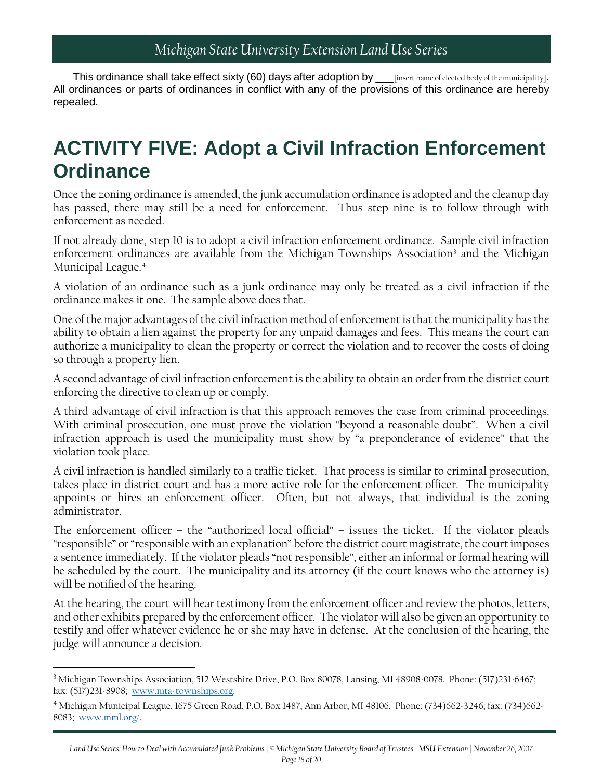This ordinance shall take effect sixty (60) days after adoption by \_\_\_\_[insert name of elected body of the municipality]. All ordinances or parts of ordinances in conflict with any of the provisions of this ordinance are hereby repealed.

## <span id="page-17-0"></span>**ACTIVITY FIVE: Adopt a Civil Infraction Enforcement Ordinance**

Once the zoning ordinance is amended, the junk accumulation ordinance is adopted and the cleanup day has passed, there may still be a need for enforcement. Thus step nine is to follow through with enforcement as needed.

If not already done, step 10 is to adopt a civil infraction enforcement ordinance. Sample civil infraction enforcement ordinances are available from the Michigan Townships Association<sup>[3](#page-17-1)</sup> and the Michigan Municipal League.<sup>4</sup>

A violation of an ordinance such as a junk ordinance may only be treated as a civil infraction if the ordinance makes it one. The sample above does that.

One of the major advantages of the civil infraction method of enforcement is that the municipality has the ability to obtain a lien against the property for any unpaid damages and fees. This means the court can authorize a municipality to clean the property or correct the violation and to recover the costs of doing so through a property lien.

A second advantage of civil infraction enforcement is the ability to obtain an order from the district court enforcing the directive to clean up or comply.

A third advantage of civil infraction is that this approach removes the case from criminal proceedings. With criminal prosecution, one must prove the violation "beyond a reasonable doubt". When a civil infraction approach is used the municipality must show by "a preponderance of evidence" that the violation took place.

A civil infraction is handled similarly to a traffic ticket. That process is similar to criminal prosecution, takes place in district court and has a more active role for the enforcement officer. The municipality appoints or hires an enforcement officer. Often, but not always, that individual is the zoning administrator.

The enforcement officer – the "authorized local official" – issues the ticket. If the violator pleads "responsible" or "responsible with an explanation" before the district court magistrate, the court imposes a sentence immediately. If the violator pleads "not responsible", either an informal or formal hearing will be scheduled by the court. The municipality and its attorney (if the court knows who the attorney is) will be notified of the hearing.

At the hearing, the court will hear testimony from the enforcement officer and review the photos, letters, and other exhibits prepared by the enforcement officer. The violator will also be given an opportunity to testify and offer whatever evidence he or she may have in defense. At the conclusion of the hearing, the judge will announce a decision.

 $\overline{\phantom{a}}$ 

<span id="page-17-1"></span><sup>3</sup> Michigan Townships Association, 512 Westshire Drive, P.O. Box 80078, Lansing, MI 48908-0078. Phone: (517)231-6467; fax: (517)231-8908; www.mta-townships.org.

<span id="page-17-2"></span><sup>4</sup> Michigan Municipal League, 1675 Green Road, P.O. Box 1487, Ann Arbor, MI 48106. Phone: (734)662-3246; fax: (734)662- 8083; www.mml.org/.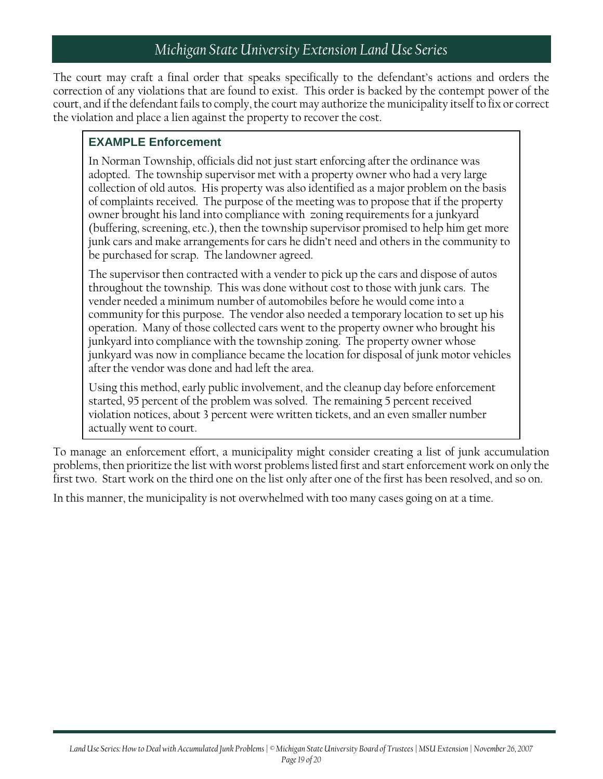The court may craft a final order that speaks specifically to the defendant's actions and orders the correction of any violations that are found to exist. This order is backed by the contempt power of the court, and if the defendant fails to comply, the court may authorize the municipality itself to fix or correct the violation and place a lien against the property to recover the cost.

#### **EXAMPLE Enforcement**

In Norman Township, officials did not just start enforcing after the ordinance was adopted. The township supervisor met with a property owner who had a very large collection of old autos. His property was also identified as a major problem on the basis of complaints received. The purpose of the meeting was to propose that if the property owner brought his land into compliance with zoning requirements for a junkyard (buffering, screening, etc.), then the township supervisor promised to help him get more junk cars and make arrangements for cars he didn't need and others in the community to be purchased for scrap. The landowner agreed.

The supervisor then contracted with a vender to pick up the cars and dispose of autos throughout the township. This was done without cost to those with junk cars. The vender needed a minimum number of automobiles before he would come into a community for this purpose. The vendor also needed a temporary location to set up his operation. Many of those collected cars went to the property owner who brought his junkyard into compliance with the township zoning. The property owner whose junkyard was now in compliance became the location for disposal of junk motor vehicles after the vendor was done and had left the area.

Using this method, early public involvement, and the cleanup day before enforcement started, 95 percent of the problem was solved. The remaining 5 percent received violation notices, about 3 percent were written tickets, and an even smaller number actually went to court.

To manage an enforcement effort, a municipality might consider creating a list of junk accumulation problems, then prioritize the list with worst problems listed first and start enforcement work on only the first two. Start work on the third one on the list only after one of the first has been resolved, and so on.

In this manner, the municipality is not overwhelmed with too many cases going on at a time.